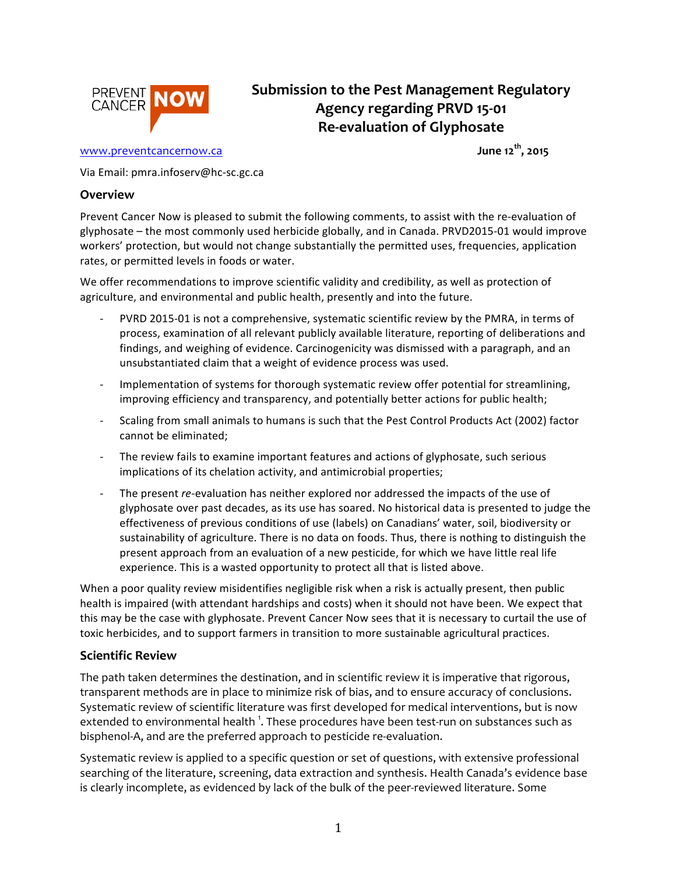

# **Submission to the Pest Management Regulatory Agency regarding PRVD 15-01 Re-evaluation of Glyphosate**

## www.preventcancernow.ca **June** 12<sup>th</sup>, 2015

Via Email: pmra.infoserv@hc-sc.gc.ca

#### **Overview**

Prevent Cancer Now is pleased to submit the following comments, to assist with the re-evaluation of glyphosate – the most commonly used herbicide globally, and in Canada. PRVD2015-01 would improve workers' protection, but would not change substantially the permitted uses, frequencies, application rates, or permitted levels in foods or water.

We offer recommendations to improve scientific validity and credibility, as well as protection of agriculture, and environmental and public health, presently and into the future.

- PVRD 2015-01 is not a comprehensive, systematic scientific review by the PMRA, in terms of process, examination of all relevant publicly available literature, reporting of deliberations and findings, and weighing of evidence. Carcinogenicity was dismissed with a paragraph, and an unsubstantiated claim that a weight of evidence process was used.
- Implementation of systems for thorough systematic review offer potential for streamlining, improving efficiency and transparency, and potentially better actions for public health;
- Scaling from small animals to humans is such that the Pest Control Products Act (2002) factor cannot be eliminated;
- The review fails to examine important features and actions of glyphosate, such serious implications of its chelation activity, and antimicrobial properties;
- The present *re*-evaluation has neither explored nor addressed the impacts of the use of glyphosate over past decades, as its use has soared. No historical data is presented to judge the effectiveness of previous conditions of use (labels) on Canadians' water, soil, biodiversity or sustainability of agriculture. There is no data on foods. Thus, there is nothing to distinguish the present approach from an evaluation of a new pesticide, for which we have little real life experience. This is a wasted opportunity to protect all that is listed above.

When a poor quality review misidentifies negligible risk when a risk is actually present, then public health is impaired (with attendant hardships and costs) when it should not have been. We expect that this may be the case with glyphosate. Prevent Cancer Now sees that it is necessary to curtail the use of toxic herbicides, and to support farmers in transition to more sustainable agricultural practices.

### **Scientific Review**

The path taken determines the destination, and in scientific review it is imperative that rigorous, transparent methods are in place to minimize risk of bias, and to ensure accuracy of conclusions. Systematic review of scientific literature was first developed for medical interventions, but is now extended to environmental health  $^1$ . These procedures have been test-run on substances such as bisphenol-A, and are the preferred approach to pesticide re-evaluation.

Systematic review is applied to a specific question or set of questions, with extensive professional searching of the literature, screening, data extraction and synthesis. Health Canada's evidence base is clearly incomplete, as evidenced by lack of the bulk of the peer-reviewed literature. Some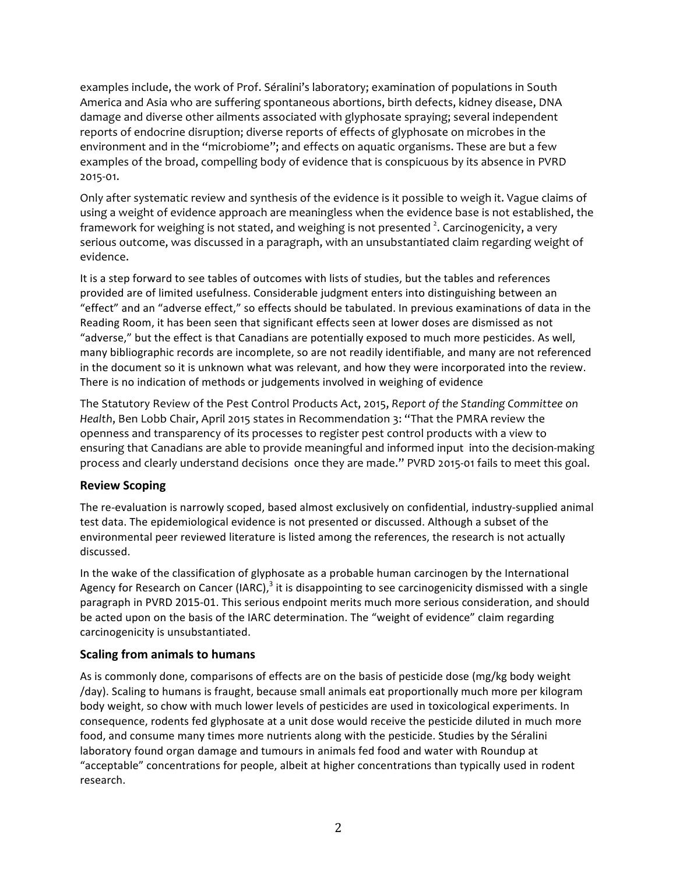examples include, the work of Prof. Séralini's laboratory; examination of populations in South America and Asia who are suffering spontaneous abortions, birth defects, kidney disease, DNA damage and diverse other ailments associated with glyphosate spraying; several independent reports of endocrine disruption; diverse reports of effects of glyphosate on microbes in the environment and in the "microbiome"; and effects on aquatic organisms. These are but a few examples of the broad, compelling body of evidence that is conspicuous by its absence in PVRD 2015-01.

Only after systematic review and synthesis of the evidence is it possible to weigh it. Vague claims of using a weight of evidence approach are meaningless when the evidence base is not established, the framework for weighing is not stated, and weighing is not presented  $^2$ . Carcinogenicity, a very serious outcome, was discussed in a paragraph, with an unsubstantiated claim regarding weight of evidence.

It is a step forward to see tables of outcomes with lists of studies, but the tables and references provided are of limited usefulness. Considerable judgment enters into distinguishing between an "effect" and an "adverse effect," so effects should be tabulated. In previous examinations of data in the Reading Room, it has been seen that significant effects seen at lower doses are dismissed as not "adverse," but the effect is that Canadians are potentially exposed to much more pesticides. As well, many bibliographic records are incomplete, so are not readily identifiable, and many are not referenced in the document so it is unknown what was relevant, and how they were incorporated into the review. There is no indication of methods or judgements involved in weighing of evidence

The Statutory Review of the Pest Control Products Act, 2015, *Report of the Standing Committee on Health*, Ben Lobb Chair, April 2015 states in Recommendation 3: "That the PMRA review the openness and transparency of its processes to register pest control products with a view to ensuring that Canadians are able to provide meaningful and informed input into the decision-making process and clearly understand decisions once they are made." PVRD 2015-01 fails to meet this goal.

### **Review Scoping**

The re-evaluation is narrowly scoped, based almost exclusively on confidential, industry-supplied animal test data. The epidemiological evidence is not presented or discussed. Although a subset of the environmental peer reviewed literature is listed among the references, the research is not actually discussed.

In the wake of the classification of glyphosate as a probable human carcinogen by the International Agency for Research on Cancer (IARC),<sup>3</sup> it is disappointing to see carcinogenicity dismissed with a single paragraph in PVRD 2015-01. This serious endpoint merits much more serious consideration, and should be acted upon on the basis of the IARC determination. The "weight of evidence" claim regarding carcinogenicity is unsubstantiated.

### **Scaling from animals to humans**

As is commonly done, comparisons of effects are on the basis of pesticide dose (mg/kg body weight /day). Scaling to humans is fraught, because small animals eat proportionally much more per kilogram body weight, so chow with much lower levels of pesticides are used in toxicological experiments. In consequence, rodents fed glyphosate at a unit dose would receive the pesticide diluted in much more food, and consume many times more nutrients along with the pesticide. Studies by the Séralini laboratory found organ damage and tumours in animals fed food and water with Roundup at "acceptable" concentrations for people, albeit at higher concentrations than typically used in rodent research.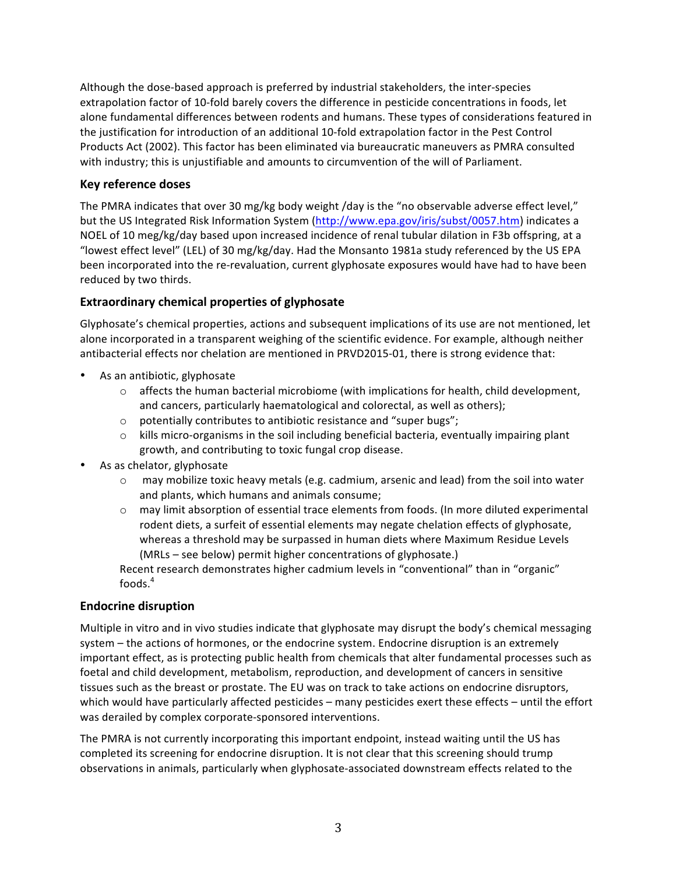Although the dose-based approach is preferred by industrial stakeholders, the inter-species extrapolation factor of 10-fold barely covers the difference in pesticide concentrations in foods, let alone fundamental differences between rodents and humans. These types of considerations featured in the justification for introduction of an additional 10-fold extrapolation factor in the Pest Control Products Act (2002). This factor has been eliminated via bureaucratic maneuvers as PMRA consulted with industry; this is unjustifiable and amounts to circumvention of the will of Parliament.

### **Key reference doses**

The PMRA indicates that over 30 mg/kg body weight /day is the "no observable adverse effect level," but the US Integrated Risk Information System (http://www.epa.gov/iris/subst/0057.htm) indicates a NOEL of 10 meg/kg/day based upon increased incidence of renal tubular dilation in F3b offspring, at a "lowest effect level" (LEL) of 30 mg/kg/day. Had the Monsanto 1981a study referenced by the US EPA been incorporated into the re-revaluation, current glyphosate exposures would have had to have been reduced by two thirds.

## **Extraordinary chemical properties of glyphosate**

Glyphosate's chemical properties, actions and subsequent implications of its use are not mentioned, let alone incorporated in a transparent weighing of the scientific evidence. For example, although neither antibacterial effects nor chelation are mentioned in PRVD2015-01, there is strong evidence that:

- As an antibiotic, glyphosate
	- $\circ$  affects the human bacterial microbiome (with implications for health, child development, and cancers, particularly haematological and colorectal, as well as others);
	- $\circ$  potentially contributes to antibiotic resistance and "super bugs";
	- $\circ$  kills micro-organisms in the soil including beneficial bacteria, eventually impairing plant growth, and contributing to toxic fungal crop disease.
- As as chelator, glyphosate
	- $\circ$  may mobilize toxic heavy metals (e.g. cadmium, arsenic and lead) from the soil into water and plants, which humans and animals consume;
	- $\circ$  may limit absorption of essential trace elements from foods. (In more diluted experimental rodent diets, a surfeit of essential elements may negate chelation effects of glyphosate, whereas a threshold may be surpassed in human diets where Maximum Residue Levels (MRLs – see below) permit higher concentrations of glyphosate.)

Recent research demonstrates higher cadmium levels in "conventional" than in "organic" foods.<sup>4</sup>

### **Endocrine disruption**

Multiple in vitro and in vivo studies indicate that glyphosate may disrupt the body's chemical messaging system – the actions of hormones, or the endocrine system. Endocrine disruption is an extremely important effect, as is protecting public health from chemicals that alter fundamental processes such as foetal and child development, metabolism, reproduction, and development of cancers in sensitive tissues such as the breast or prostate. The EU was on track to take actions on endocrine disruptors, which would have particularly affected pesticides – many pesticides exert these effects – until the effort was derailed by complex corporate-sponsored interventions.

The PMRA is not currently incorporating this important endpoint, instead waiting until the US has completed its screening for endocrine disruption. It is not clear that this screening should trump observations in animals, particularly when glyphosate-associated downstream effects related to the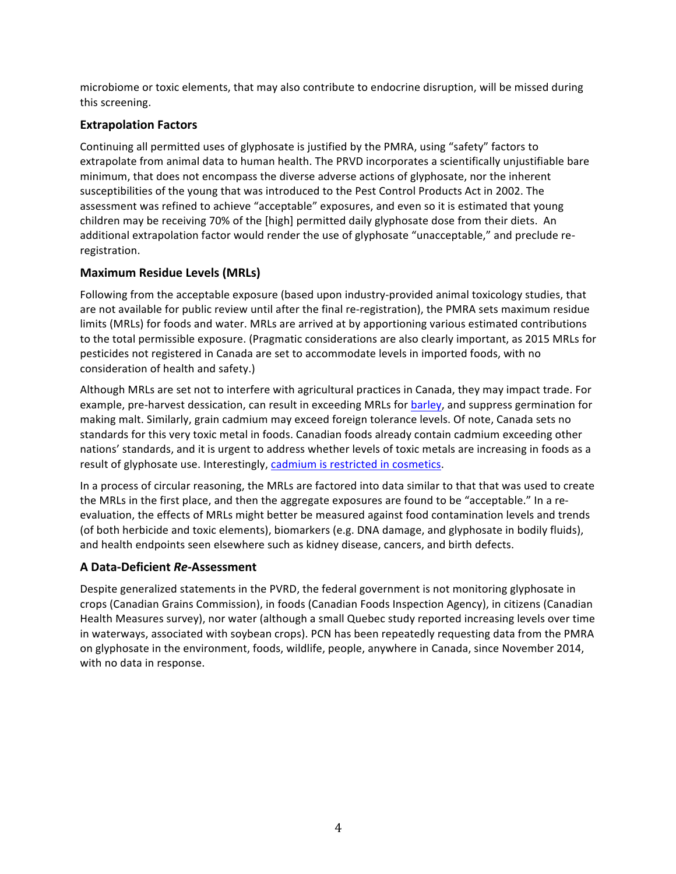microbiome or toxic elements, that may also contribute to endocrine disruption, will be missed during this screening.

## **Extrapolation Factors**

Continuing all permitted uses of glyphosate is justified by the PMRA, using "safety" factors to extrapolate from animal data to human health. The PRVD incorporates a scientifically unjustifiable bare minimum, that does not encompass the diverse adverse actions of glyphosate, nor the inherent susceptibilities of the young that was introduced to the Pest Control Products Act in 2002. The assessment was refined to achieve "acceptable" exposures, and even so it is estimated that young children may be receiving 70% of the [high] permitted daily glyphosate dose from their diets. An additional extrapolation factor would render the use of glyphosate "unacceptable," and preclude reregistration.

## **Maximum Residue Levels (MRLs)**

Following from the acceptable exposure (based upon industry-provided animal toxicology studies, that are not available for public review until after the final re-registration), the PMRA sets maximum residue limits (MRLs) for foods and water. MRLs are arrived at by apportioning various estimated contributions to the total permissible exposure. (Pragmatic considerations are also clearly important, as 2015 MRLs for pesticides not registered in Canada are set to accommodate levels in imported foods, with no consideration of health and safety.)

Although MRLs are set not to interfere with agricultural practices in Canada, they may impact trade. For example, pre-harvest dessication, can result in exceeding MRLs for barley, and suppress germination for making malt. Similarly, grain cadmium may exceed foreign tolerance levels. Of note, Canada sets no standards for this very toxic metal in foods. Canadian foods already contain cadmium exceeding other nations' standards, and it is urgent to address whether levels of toxic metals are increasing in foods as a result of glyphosate use. Interestingly, cadmium is restricted in cosmetics.

In a process of circular reasoning, the MRLs are factored into data similar to that that was used to create the MRLs in the first place, and then the aggregate exposures are found to be "acceptable." In a reevaluation, the effects of MRLs might better be measured against food contamination levels and trends (of both herbicide and toxic elements), biomarkers (e.g. DNA damage, and glyphosate in bodily fluids), and health endpoints seen elsewhere such as kidney disease, cancers, and birth defects.

### **A Data-Deficient** *Re-***Assessment**

Despite generalized statements in the PVRD, the federal government is not monitoring glyphosate in crops (Canadian Grains Commission), in foods (Canadian Foods Inspection Agency), in citizens (Canadian Health Measures survey), nor water (although a small Quebec study reported increasing levels over time in waterways, associated with soybean crops). PCN has been repeatedly requesting data from the PMRA on glyphosate in the environment, foods, wildlife, people, anywhere in Canada, since November 2014, with no data in response.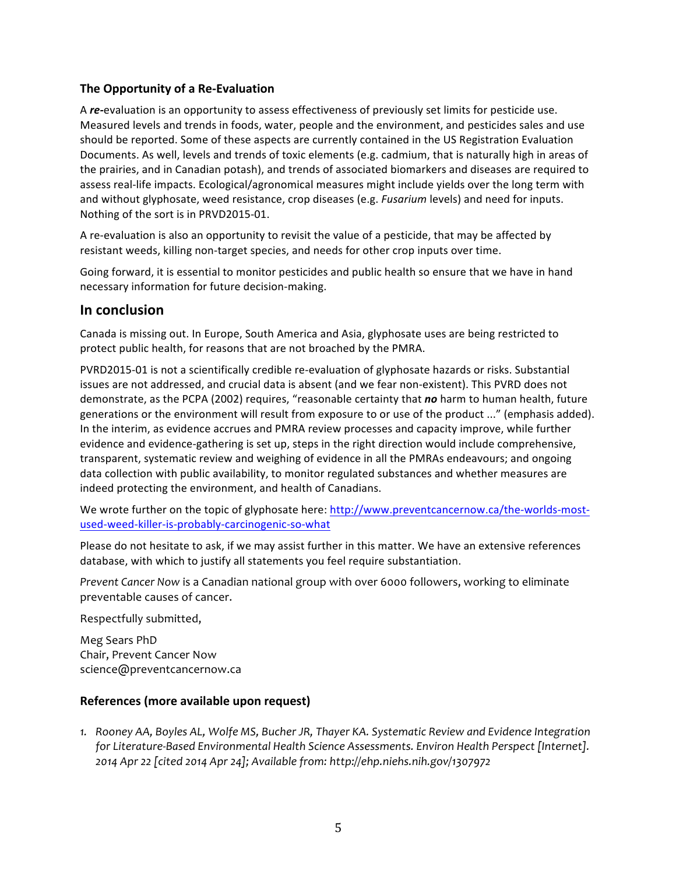## **The Opportunity of a Re-Evaluation**

A re-evaluation is an opportunity to assess effectiveness of previously set limits for pesticide use. Measured levels and trends in foods, water, people and the environment, and pesticides sales and use should be reported. Some of these aspects are currently contained in the US Registration Evaluation Documents. As well, levels and trends of toxic elements (e.g. cadmium, that is naturally high in areas of the prairies, and in Canadian potash), and trends of associated biomarkers and diseases are required to assess real-life impacts. Ecological/agronomical measures might include yields over the long term with and without glyphosate, weed resistance, crop diseases (e.g. *Fusarium* levels) and need for inputs. Nothing of the sort is in PRVD2015-01.

A re-evaluation is also an opportunity to revisit the value of a pesticide, that may be affected by resistant weeds, killing non-target species, and needs for other crop inputs over time.

Going forward, it is essential to monitor pesticides and public health so ensure that we have in hand necessary information for future decision-making.

## **In conclusion**

Canada is missing out. In Europe, South America and Asia, glyphosate uses are being restricted to protect public health, for reasons that are not broached by the PMRA.

PVRD2015-01 is not a scientifically credible re-evaluation of glyphosate hazards or risks. Substantial issues are not addressed, and crucial data is absent (and we fear non-existent). This PVRD does not demonstrate, as the PCPA (2002) requires, "reasonable certainty that no harm to human health, future generations or the environment will result from exposure to or use of the product ..." (emphasis added). In the interim, as evidence accrues and PMRA review processes and capacity improve, while further evidence and evidence-gathering is set up, steps in the right direction would include comprehensive, transparent, systematic review and weighing of evidence in all the PMRAs endeavours; and ongoing data collection with public availability, to monitor regulated substances and whether measures are indeed protecting the environment, and health of Canadians.

We wrote further on the topic of glyphosate here: http://www.preventcancernow.ca/the-worlds-mostused-weed-killer-is-probably-carcinogenic-so-what

Please do not hesitate to ask, if we may assist further in this matter. We have an extensive references database, with which to justify all statements you feel require substantiation.

*Prevent Cancer Now is a Canadian national group with over 6000 followers, working to eliminate* preventable causes of cancer.

Respectfully submitted,

Meg Sears PhD Chair, Prevent Cancer Now science@preventcancernow.ca

### **References** (more available upon request)

1. Rooney AA, Boyles AL, Wolfe MS, Bucher JR, Thayer KA. Systematic Review and Evidence Integration *for Literature-Based Environmental Health Science Assessments. Environ Health Perspect [Internet]. 2014 Apr 22 [cited 2014 Apr 24]; Available from: http://ehp.niehs.nih.gov/1307972*